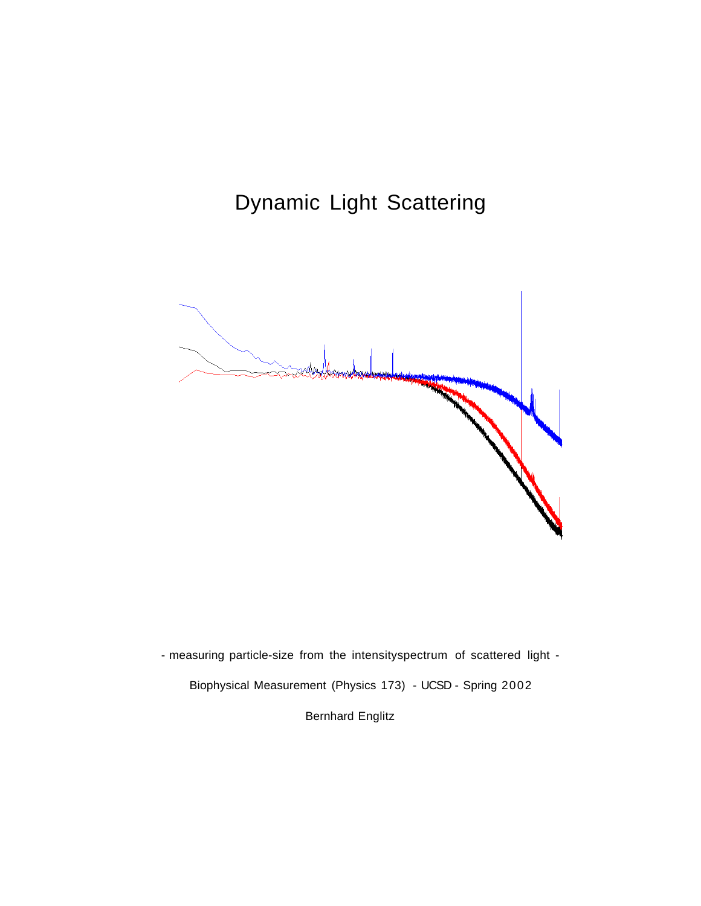# Dynamic Light Scattering



- measuring particle-size from the intensityspectrum of scattered light - Biophysical Measurement (Physics 173) - UCSD - Spring 2002 Bernhard Englitz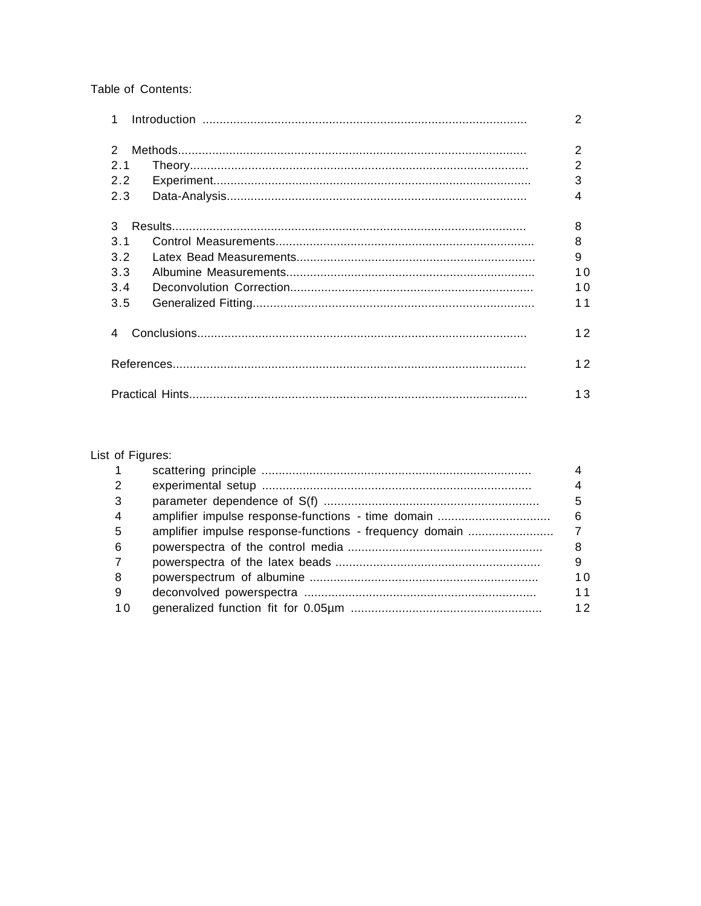Table of Contents:

| $\mathbf{1}$ |  | 2              |
|--------------|--|----------------|
| 2            |  | 2              |
| 2.1          |  | 2              |
| 2.2          |  | 3              |
| 2.3          |  | 4              |
| 3            |  | 8              |
| 3.1          |  | 8              |
| 3.2          |  | 9              |
| 3.3          |  | 1 <sub>0</sub> |
| 3.4          |  | 10             |
| 3.5          |  | 11             |
|              |  | 12             |
|              |  | 12             |
|              |  | 13             |

# List of Figures:

| $\overline{1}$ |    |
|----------------|----|
| 2              |    |
| 3              | 5  |
| $\overline{4}$ | 6  |
| -5             |    |
| 6              |    |
| 7              | 9  |
| 8              | 10 |
| -9             | 11 |
| 1 O            | 12 |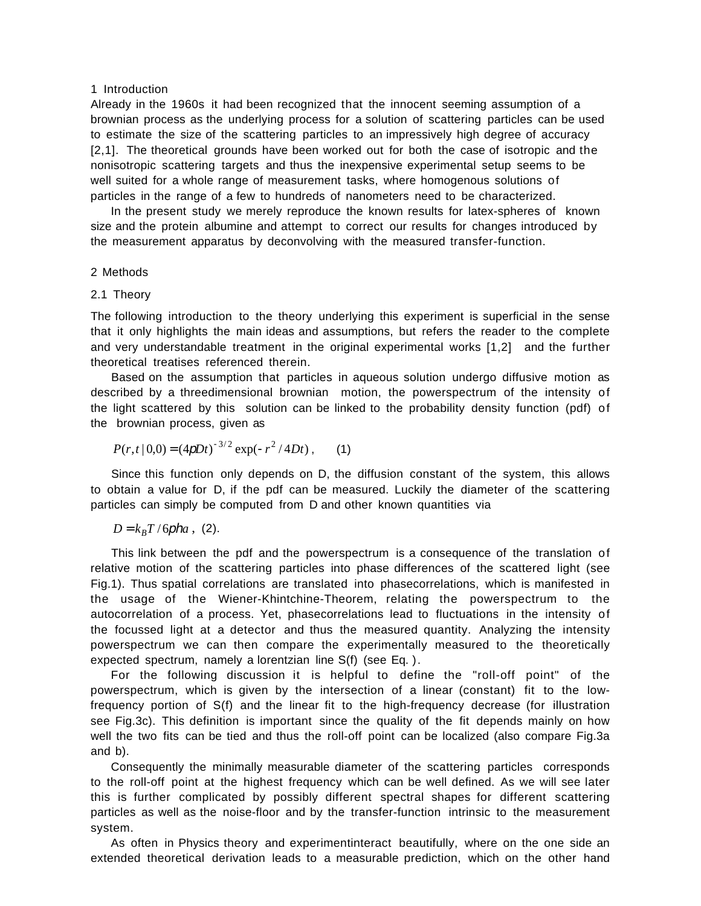#### 1 Introduction

Already in the 1960s it had been recognized that the innocent seeming assumption of a brownian process as the underlying process for a solution of scattering particles can be used to estimate the size of the scattering particles to an impressively high degree of accuracy [2,1]. The theoretical grounds have been worked out for both the case of isotropic and the nonisotropic scattering targets and thus the inexpensive experimental setup seems to be well suited for a whole range of measurement tasks, where homogenous solutions of particles in the range of a few to hundreds of nanometers need to be characterized.

In the present study we merely reproduce the known results for latex-spheres of known size and the protein albumine and attempt to correct our results for changes introduced by the measurement apparatus by deconvolving with the measured transfer-function.

#### 2 Methods

## 2.1 Theory

The following introduction to the theory underlying this experiment is superficial in the sense that it only highlights the main ideas and assumptions, but refers the reader to the complete and very understandable treatment in the original experimental works [1,2] and the further theoretical treatises referenced therein.

Based on the assumption that particles in aqueous solution undergo diffusive motion as described by a threedimensional brownian motion, the powerspectrum of the intensity of the light scattered by this solution can be linked to the probability density function (pdf) of the brownian process, given as

$$
P(r,t | 0,0) = (4pDt)^{-3/2} \exp(-r^2/4Dt), \qquad (1)
$$

Since this function only depends on D, the diffusion constant of the system, this allows to obtain a value for D, if the pdf can be measured. Luckily the diameter of the scattering particles can simply be computed from D and other known quantities via

 $D = k<sub>B</sub>T/6pha$ , (2).

This link between the pdf and the powerspectrum is a consequence of the translation of relative motion of the scattering particles into phase differences of the scattered light (see Fig.1). Thus spatial correlations are translated into phasecorrelations, which is manifested in the usage of the Wiener-Khintchine-Theorem, relating the powerspectrum to the autocorrelation of a process. Yet, phasecorrelations lead to fluctuations in the intensity of the focussed light at a detector and thus the measured quantity. Analyzing the intensity powerspectrum we can then compare the experimentally measured to the theoretically expected spectrum, namely a lorentzian line S(f) (see Eq. ).

For the following discussion it is helpful to define the "roll-off point" of the powerspectrum, which is given by the intersection of a linear (constant) fit to the lowfrequency portion of S(f) and the linear fit to the high-frequency decrease (for illustration see Fig.3c). This definition is important since the quality of the fit depends mainly on how well the two fits can be tied and thus the roll-off point can be localized (also compare Fig.3a and b).

Consequently the minimally measurable diameter of the scattering particles corresponds to the roll-off point at the highest frequency which can be well defined. As we will see later this is further complicated by possibly different spectral shapes for different scattering particles as well as the noise-floor and by the transfer-function intrinsic to the measurement system.

As often in Physics theory and experimentinteract beautifully, where on the one side an extended theoretical derivation leads to a measurable prediction, which on the other hand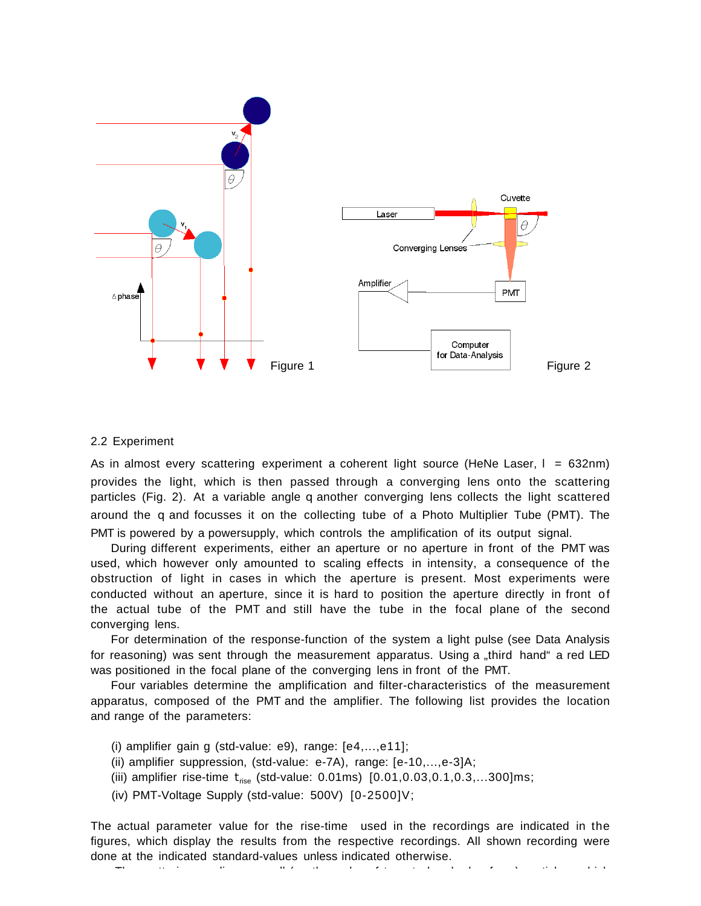

#### 2.2 Experiment

As in almost every scattering experiment a coherent light source (HeNe Laser,  $I = 632nm$ ) provides the light, which is then passed through a converging lens onto the scattering particles (Fig. 2). At a variable angle q another converging lens collects the light scattered around the q and focusses it on the collecting tube of a Photo Multiplier Tube (PMT). The PMT is powered by a powersupply, which controls the amplification of its output signal.

During different experiments, either an aperture or no aperture in front of the PMT was used, which however only amounted to scaling effects in intensity, a consequence of the obstruction of light in cases in which the aperture is present. Most experiments were conducted without an aperture, since it is hard to position the aperture directly in front of the actual tube of the PMT and still have the tube in the focal plane of the second converging lens.

For determination of the response-function of the system a light pulse (see Data Analysis for reasoning) was sent through the measurement apparatus. Using a "third hand" a red LED was positioned in the focal plane of the converging lens in front of the PMT.

Four variables determine the amplification and filter-characteristics of the measurement apparatus, composed of the PMT and the amplifier. The following list provides the location and range of the parameters:

- (i) amplifier gain g (std-value: e9), range: [e4,...,e11];
- (ii) amplifier suppression, (std-value: e-7A), range: [e-10,...,e-3]A;
- (iii) amplifier rise-time  $t_{rise}$  (std-value: 0.01ms)  $[0.01, 0.03, 0.1, 0.3, \ldots, 300]$ ms;
- (iv) PMT-Voltage Supply (std-value: 500V) [0-2500]V;

The actual parameter value for the rise-time used in the recordings are indicated in the figures, which display the results from the respective recordings. All shown recording were done at the indicated standard-values unless indicated otherwise.

The theory is the distribution of the first of the distribution of the distribution of  $\mathcal{A}$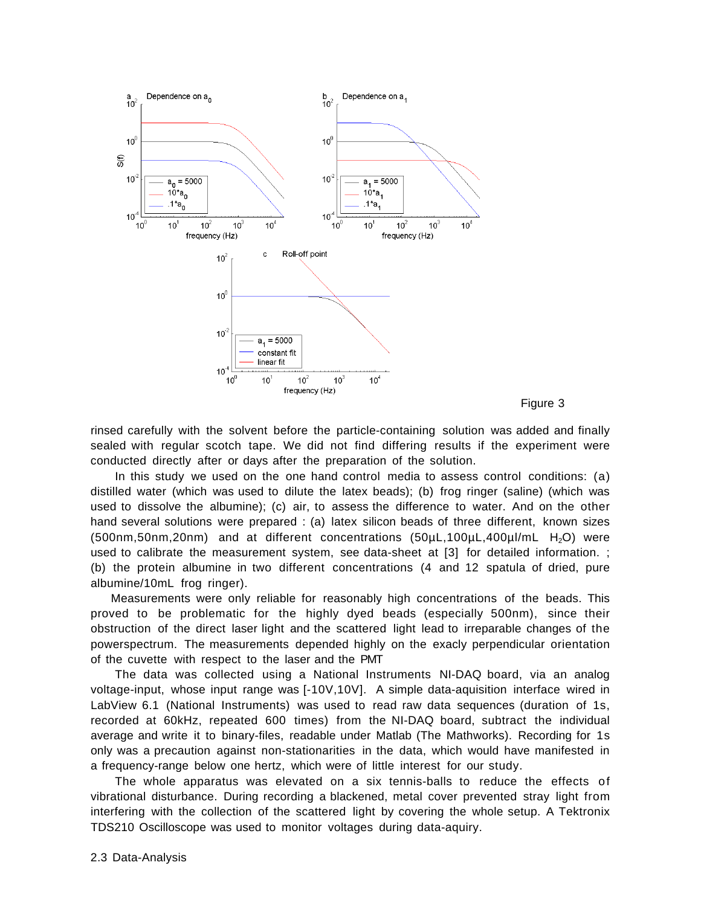



rinsed carefully with the solvent before the particle-containing solution was added and finally sealed with regular scotch tape. We did not find differing results if the experiment were conducted directly after or days after the preparation of the solution.

In this study we used on the one hand control media to assess control conditions: (a) distilled water (which was used to dilute the latex beads); (b) frog ringer (saline) (which was used to dissolve the albumine); (c) air, to assess the difference to water. And on the other hand several solutions were prepared : (a) latex silicon beads of three different, known sizes  $(500nm,50nm,20nm)$  and at different concentrations  $(50\mu L, 100\mu L, 400\mu I/mL$  H<sub>2</sub>O) were used to calibrate the measurement system, see data-sheet at [3] for detailed information. ; (b) the protein albumine in two different concentrations (4 and 12 spatula of dried, pure albumine/10mL frog ringer).

Measurements were only reliable for reasonably high concentrations of the beads. This proved to be problematic for the highly dyed beads (especially 500nm), since their obstruction of the direct laser light and the scattered light lead to irreparable changes of the powerspectrum. The measurements depended highly on the exacly perpendicular orientation of the cuvette with respect to the laser and the PMT

The data was collected using a National Instruments NI-DAQ board, via an analog voltage-input, whose input range was [-10V,10V]. A simple data-aquisition interface wired in LabView 6.1 (National Instruments) was used to read raw data sequences (duration of 1s, recorded at 60kHz, repeated 600 times) from the NI-DAQ board, subtract the individual average and write it to binary-files, readable under Matlab (The Mathworks). Recording for 1s only was a precaution against non-stationarities in the data, which would have manifested in a frequency-range below one hertz, which were of little interest for our study.

The whole apparatus was elevated on a six tennis-balls to reduce the effects of vibrational disturbance. During recording a blackened, metal cover prevented stray light from interfering with the collection of the scattered light by covering the whole setup. A Tektronix TDS210 Oscilloscope was used to monitor voltages during data-aquiry.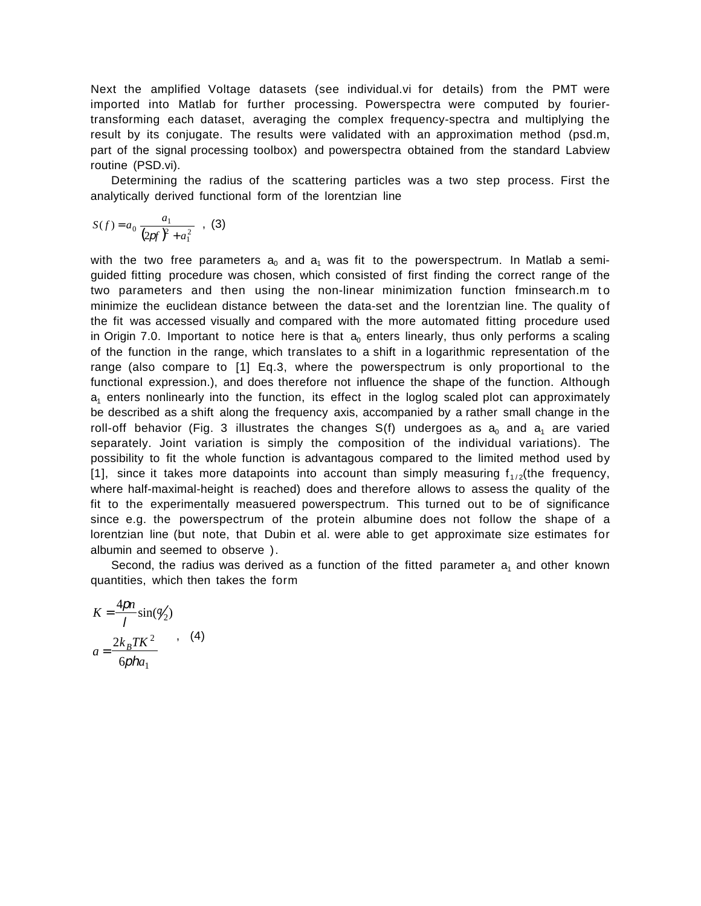Next the amplified Voltage datasets (see individual.vi for details) from the PMT were imported into Matlab for further processing. Powerspectra were computed by fouriertransforming each dataset, averaging the complex frequency-spectra and multiplying the result by its conjugate. The results were validated with an approximation method (psd.m, part of the signal processing toolbox) and powerspectra obtained from the standard Labview routine (PSD.vi).

Determining the radius of the scattering particles was a two step process. First the analytically derived functional form of the lorentzian line

$$
S(f) = a_0 \frac{a_1}{(2pf)^2 + a_1^2} \quad , \tag{3}
$$

with the two free parameters  $a_0$  and  $a_1$  was fit to the powerspectrum. In Matlab a semiguided fitting procedure was chosen, which consisted of first finding the correct range of the two parameters and then using the non-linear minimization function fminsearch.m to minimize the euclidean distance between the data-set and the lorentzian line. The quality of the fit was accessed visually and compared with the more automated fitting procedure used in Origin 7.0. Important to notice here is that  $a_0$  enters linearly, thus only performs a scaling of the function in the range, which translates to a shift in a logarithmic representation of the range (also compare to [1] Eq.3, where the powerspectrum is only proportional to the functional expression.), and does therefore not influence the shape of the function. Although  $a_1$  enters nonlinearly into the function, its effect in the loglog scaled plot can approximately be described as a shift along the frequency axis, accompanied by a rather small change in the roll-off behavior (Fig. 3 illustrates the changes  $S(f)$  undergoes as  $a_0$  and  $a_1$  are varied separately. Joint variation is simply the composition of the individual variations). The possibility to fit the whole function is advantagous compared to the limited method used by [1], since it takes more datapoints into account than simply measuring  $f_{1/2}$ (the frequency, where half-maximal-height is reached) does and therefore allows to assess the quality of the fit to the experimentally measuered powerspectrum. This turned out to be of significance since e.g. the powerspectrum of the protein albumine does not follow the shape of a lorentzian line (but note, that Dubin et al. were able to get approximate size estimates for albumin and seemed to observe ).

Second, the radius was derived as a function of the fitted parameter  $a_1$  and other known quantities, which then takes the form

$$
K = \frac{4pn}{l} \sin(\frac{q}{2})
$$
  

$$
a = \frac{2k_BTK^2}{6pha_1}
$$
 (4)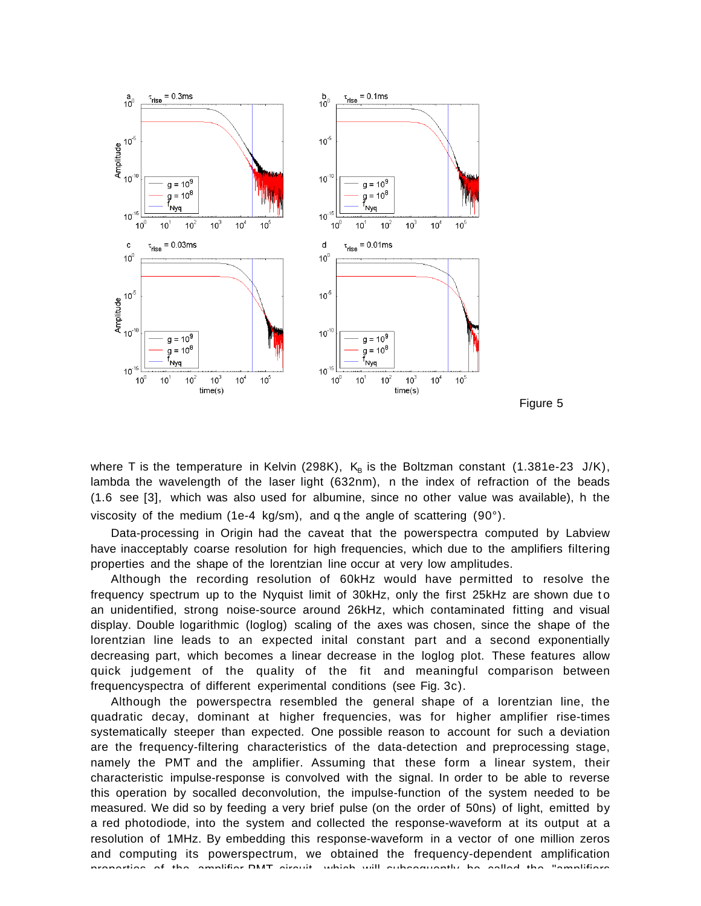



where T is the temperature in Kelvin (298K),  $K_B$  is the Boltzman constant (1.381e-23 J/K), lambda the wavelength of the laser light (632nm), n the index of refraction of the beads (1.6 see [3], which was also used for albumine, since no other value was available), h the viscosity of the medium (1e-4 kg/sm), and q the angle of scattering (90°).

Data-processing in Origin had the caveat that the powerspectra computed by Labview have inacceptably coarse resolution for high frequencies, which due to the amplifiers filtering properties and the shape of the lorentzian line occur at very low amplitudes.

Although the recording resolution of 60kHz would have permitted to resolve the frequency spectrum up to the Nyquist limit of 30kHz, only the first 25kHz are shown due t o an unidentified, strong noise-source around 26kHz, which contaminated fitting and visual display. Double logarithmic (loglog) scaling of the axes was chosen, since the shape of the lorentzian line leads to an expected inital constant part and a second exponentially decreasing part, which becomes a linear decrease in the loglog plot. These features allow quick judgement of the quality of the fit and meaningful comparison between frequencyspectra of different experimental conditions (see Fig. 3c).

Although the powerspectra resembled the general shape of a lorentzian line, the quadratic decay, dominant at higher frequencies, was for higher amplifier rise-times systematically steeper than expected. One possible reason to account for such a deviation are the frequency-filtering characteristics of the data-detection and preprocessing stage, namely the PMT and the amplifier. Assuming that these form a linear system, their characteristic impulse-response is convolved with the signal. In order to be able to reverse this operation by socalled deconvolution, the impulse-function of the system needed to be measured. We did so by feeding a very brief pulse (on the order of 50ns) of light, emitted by a red photodiode, into the system and collected the response-waveform at its output at a resolution of 1MHz. By embedding this response-waveform in a vector of one million zeros and computing its powerspectrum, we obtained the frequency-dependent amplification properties of the amplifier PMT circuit which will subsequently be called the "amplifiers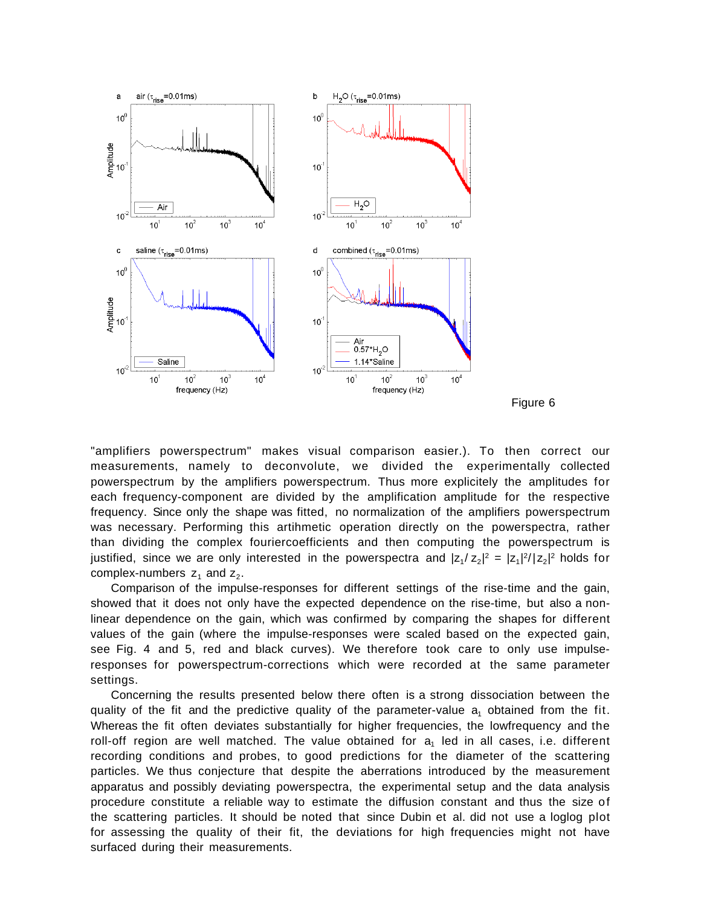



"amplifiers powerspectrum" makes visual comparison easier.). To then correct our measurements, namely to deconvolute, we divided the experimentally collected powerspectrum by the amplifiers powerspectrum. Thus more explicitely the amplitudes for each frequency-component are divided by the amplification amplitude for the respective frequency. Since only the shape was fitted, no normalization of the amplifiers powerspectrum was necessary. Performing this artihmetic operation directly on the powerspectra, rather than dividing the complex fouriercoefficients and then computing the powerspectrum is justified, since we are only interested in the powerspectra and  $|z_1/z_2|^2 = |z_1|^2/|z_2|^2$  holds for complex-numbers  $z_1$  and  $z_2$ .

Comparison of the impulse-responses for different settings of the rise-time and the gain, showed that it does not only have the expected dependence on the rise-time, but also a nonlinear dependence on the gain, which was confirmed by comparing the shapes for different values of the gain (where the impulse-responses were scaled based on the expected gain, see Fig. 4 and 5, red and black curves). We therefore took care to only use impulseresponses for powerspectrum-corrections which were recorded at the same parameter settings.

Concerning the results presented below there often is a strong dissociation between the quality of the fit and the predictive quality of the parameter-value  $a_1$  obtained from the fit. Whereas the fit often deviates substantially for higher frequencies, the lowfrequency and the roll-off region are well matched. The value obtained for  $a_1$  led in all cases, i.e. different recording conditions and probes, to good predictions for the diameter of the scattering particles. We thus conjecture that despite the aberrations introduced by the measurement apparatus and possibly deviating powerspectra, the experimental setup and the data analysis procedure constitute a reliable way to estimate the diffusion constant and thus the size of the scattering particles. It should be noted that since Dubin et al. did not use a loglog plot for assessing the quality of their fit, the deviations for high frequencies might not have surfaced during their measurements.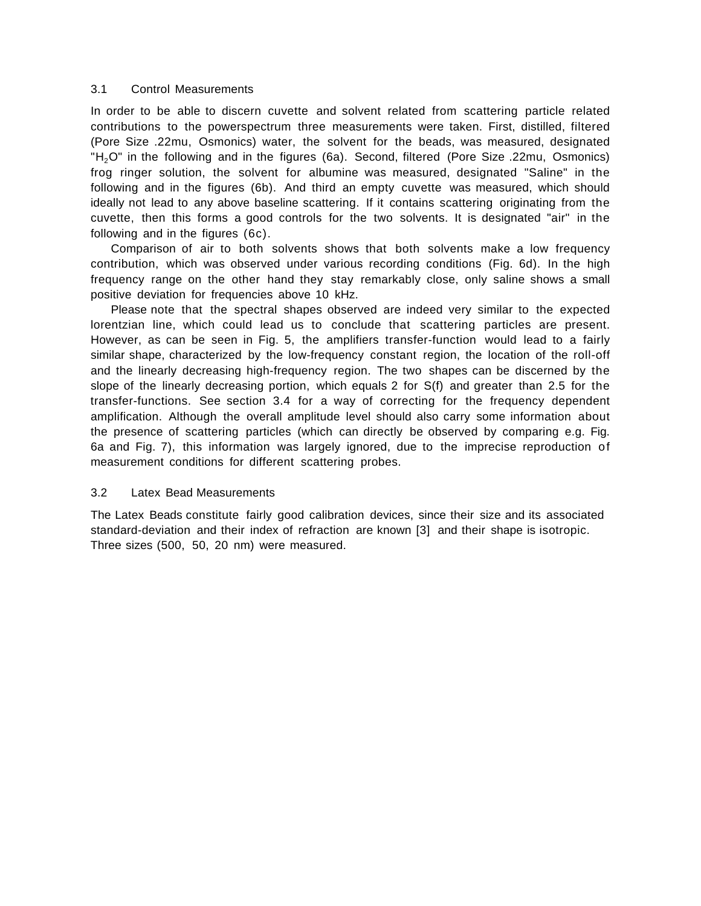### 3.1 Control Measurements

In order to be able to discern cuvette and solvent related from scattering particle related contributions to the powerspectrum three measurements were taken. First, distilled, filtered (Pore Size .22mu, Osmonics) water, the solvent for the beads, was measured, designated "H<sub>2</sub>O" in the following and in the figures (6a). Second, filtered (Pore Size .22mu, Osmonics) frog ringer solution, the solvent for albumine was measured, designated "Saline" in the following and in the figures (6b). And third an empty cuvette was measured, which should ideally not lead to any above baseline scattering. If it contains scattering originating from the cuvette, then this forms a good controls for the two solvents. It is designated "air" in the following and in the figures (6c).

Comparison of air to both solvents shows that both solvents make a low frequency contribution, which was observed under various recording conditions (Fig. 6d). In the high frequency range on the other hand they stay remarkably close, only saline shows a small positive deviation for frequencies above 10 kHz.

Please note that the spectral shapes observed are indeed very similar to the expected lorentzian line, which could lead us to conclude that scattering particles are present. However, as can be seen in Fig. 5, the amplifiers transfer-function would lead to a fairly similar shape, characterized by the low-frequency constant region, the location of the roll-off and the linearly decreasing high-frequency region. The two shapes can be discerned by the slope of the linearly decreasing portion, which equals 2 for S(f) and greater than 2.5 for the transfer-functions. See section 3.4 for a way of correcting for the frequency dependent amplification. Although the overall amplitude level should also carry some information about the presence of scattering particles (which can directly be observed by comparing e.g. Fig. 6a and Fig. 7), this information was largely ignored, due to the imprecise reproduction of measurement conditions for different scattering probes.

#### 3.2 Latex Bead Measurements

The Latex Beads constitute fairly good calibration devices, since their size and its associated standard-deviation and their index of refraction are known [3] and their shape is isotropic. Three sizes (500, 50, 20 nm) were measured.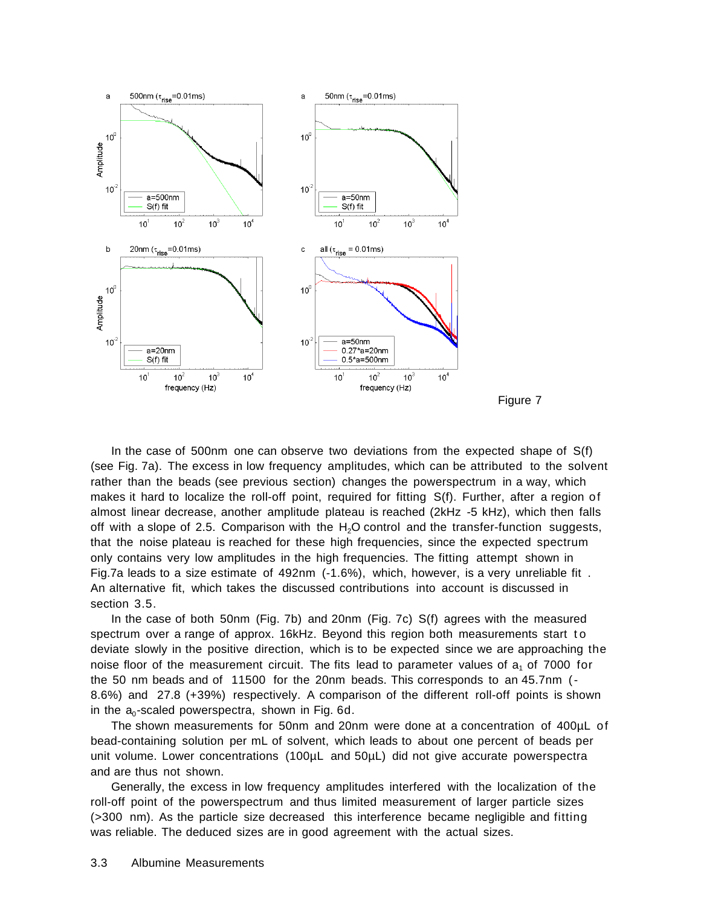



In the case of 500nm one can observe two deviations from the expected shape of S(f) (see Fig. 7a). The excess in low frequency amplitudes, which can be attributed to the solvent rather than the beads (see previous section) changes the powerspectrum in a way, which makes it hard to localize the roll-off point, required for fitting S(f). Further, after a region of almost linear decrease, another amplitude plateau is reached (2kHz -5 kHz), which then falls off with a slope of 2.5. Comparison with the  $H_2O$  control and the transfer-function suggests, that the noise plateau is reached for these high frequencies, since the expected spectrum only contains very low amplitudes in the high frequencies. The fitting attempt shown in Fig.7a leads to a size estimate of 492nm (-1.6%), which, however, is a very unreliable fit . An alternative fit, which takes the discussed contributions into account is discussed in section 3.5.

In the case of both 50nm (Fig. 7b) and 20nm (Fig. 7c) S(f) agrees with the measured spectrum over a range of approx. 16kHz. Beyond this region both measurements start to deviate slowly in the positive direction, which is to be expected since we are approaching the noise floor of the measurement circuit. The fits lead to parameter values of  $a_1$  of 7000 for the 50 nm beads and of 11500 for the 20nm beads. This corresponds to an 45.7nm (- 8.6%) and 27.8 (+39%) respectively. A comparison of the different roll-off points is shown in the  $a_0$ -scaled powerspectra, shown in Fig. 6d.

The shown measurements for 50nm and 20nm were done at a concentration of 400µL of bead-containing solution per mL of solvent, which leads to about one percent of beads per unit volume. Lower concentrations (100µL and 50µL) did not give accurate powerspectra and are thus not shown.

Generally, the excess in low frequency amplitudes interfered with the localization of the roll-off point of the powerspectrum and thus limited measurement of larger particle sizes (>300 nm). As the particle size decreased this interference became negligible and fitting was reliable. The deduced sizes are in good agreement with the actual sizes.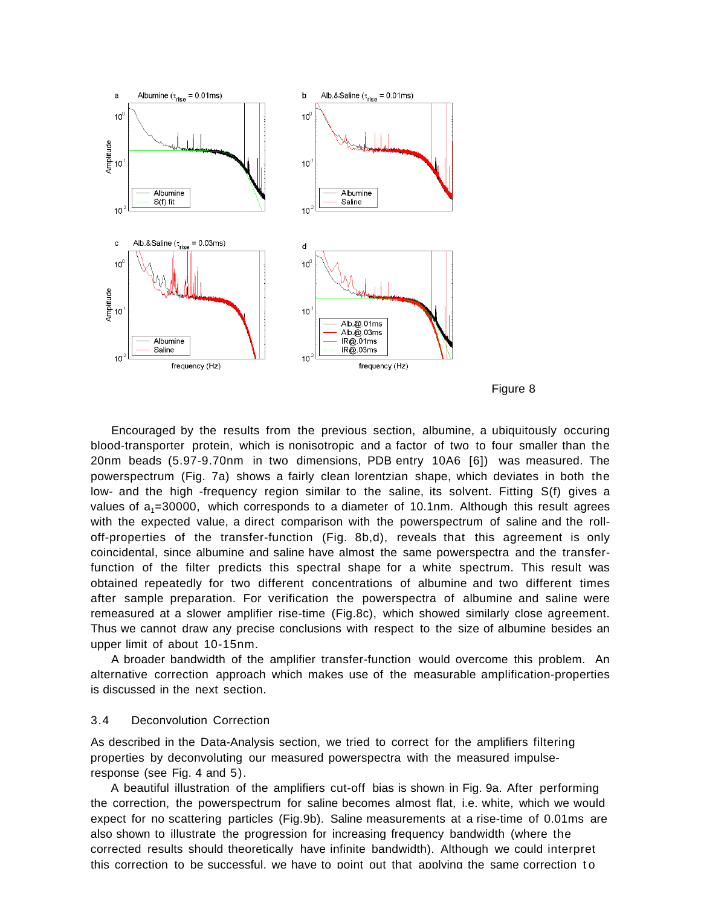



Encouraged by the results from the previous section, albumine, a ubiquitously occuring blood-transporter protein, which is nonisotropic and a factor of two to four smaller than the 20nm beads (5.97-9.70nm in two dimensions, PDB entry 10A6 [6]) was measured. The powerspectrum (Fig. 7a) shows a fairly clean lorentzian shape, which deviates in both the low- and the high -frequency region similar to the saline, its solvent. Fitting S(f) gives a values of  $a_1$ =30000, which corresponds to a diameter of 10.1nm. Although this result agrees with the expected value, a direct comparison with the powerspectrum of saline and the rolloff-properties of the transfer-function (Fig. 8b,d), reveals that this agreement is only coincidental, since albumine and saline have almost the same powerspectra and the transferfunction of the filter predicts this spectral shape for a white spectrum. This result was obtained repeatedly for two different concentrations of albumine and two different times after sample preparation. For verification the powerspectra of albumine and saline were remeasured at a slower amplifier rise-time (Fig.8c), which showed similarly close agreement. Thus we cannot draw any precise conclusions with respect to the size of albumine besides an upper limit of about 10-15nm.

A broader bandwidth of the amplifier transfer-function would overcome this problem. An alternative correction approach which makes use of the measurable amplification-properties is discussed in the next section.

#### 3.4 Deconvolution Correction

As described in the Data-Analysis section, we tried to correct for the amplifiers filtering properties by deconvoluting our measured powerspectra with the measured impulseresponse (see Fig. 4 and 5).

A beautiful illustration of the amplifiers cut-off bias is shown in Fig. 9a. After performing the correction, the powerspectrum for saline becomes almost flat, i.e. white, which we would expect for no scattering particles (Fig.9b). Saline measurements at a rise-time of 0.01ms are also shown to illustrate the progression for increasing frequency bandwidth (where the corrected results should theoretically have infinite bandwidth). Although we could interpret this correction to be successful, we have to point out that applying the same correction to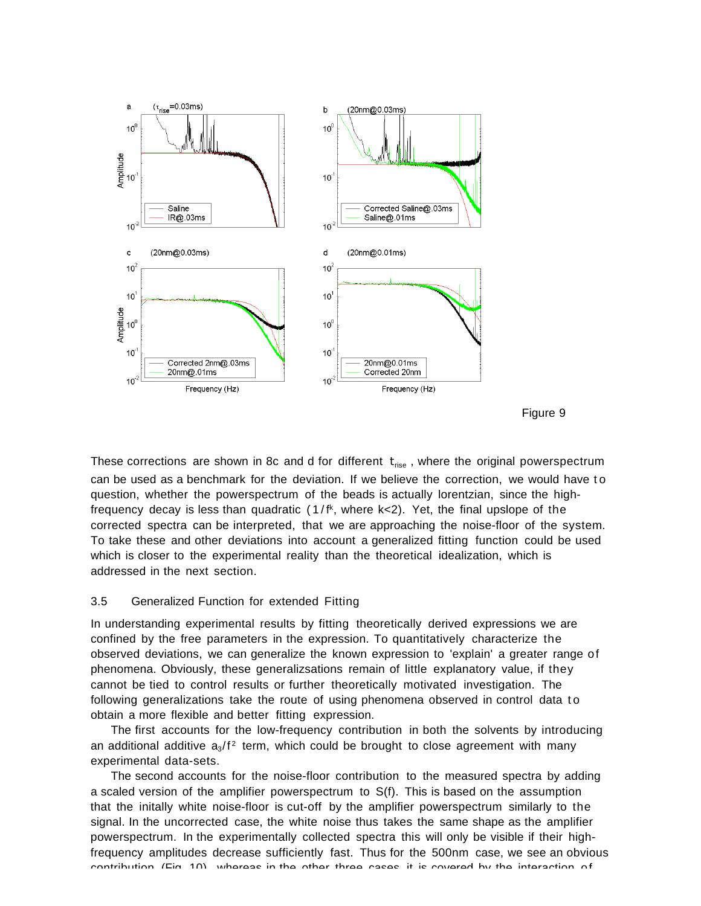



These corrections are shown in 8c and d for different  $t_{\text{rise}}$ , where the original powerspectrum can be used as a benchmark for the deviation. If we believe the correction, we would have to question, whether the powerspectrum of the beads is actually lorentzian, since the highfrequency decay is less than quadratic (1/fk, where k<2). Yet, the final upslope of the corrected spectra can be interpreted, that we are approaching the noise-floor of the system. To take these and other deviations into account a generalized fitting function could be used which is closer to the experimental reality than the theoretical idealization, which is addressed in the next section.

#### 3.5 Generalized Function for extended Fitting

In understanding experimental results by fitting theoretically derived expressions we are confined by the free parameters in the expression. To quantitatively characterize the observed deviations, we can generalize the known expression to 'explain' a greater range of phenomena. Obviously, these generalizsations remain of little explanatory value, if they cannot be tied to control results or further theoretically motivated investigation. The following generalizations take the route of using phenomena observed in control data to obtain a more flexible and better fitting expression.

The first accounts for the low-frequency contribution in both the solvents by introducing an additional additive  $a_3/f^2$  term, which could be brought to close agreement with many experimental data-sets.

The second accounts for the noise-floor contribution to the measured spectra by adding a scaled version of the amplifier powerspectrum to S(f). This is based on the assumption that the initally white noise-floor is cut-off by the amplifier powerspectrum similarly to the signal. In the uncorrected case, the white noise thus takes the same shape as the amplifier powerspectrum. In the experimentally collected spectra this will only be visible if their highfrequency amplitudes decrease sufficiently fast. Thus for the 500nm case, we see an obvious contribution (Fig 10) whereas in the other three cases it is covered by the interaction of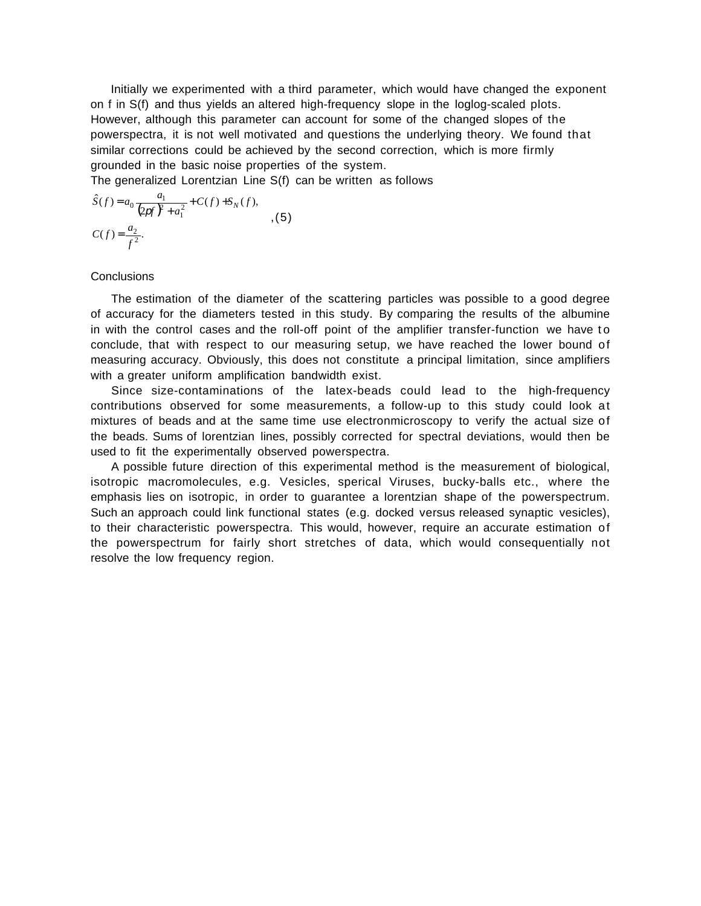Initially we experimented with a third parameter, which would have changed the exponent on f in S(f) and thus yields an altered high-frequency slope in the loglog-scaled plots. However, although this parameter can account for some of the changed slopes of the powerspectra, it is not well motivated and questions the underlying theory. We found that similar corrections could be achieved by the second correction, which is more firmly grounded in the basic noise properties of the system.

The generalized Lorentzian Line S(f) can be written as follows

$$
\hat{S}(f) = a_0 \frac{a_1}{\left(\frac{2pt}{f} + a_1^2\right)} + C(f) + S_N(f),
$$
  

$$
C(f) = \frac{a_2}{f^2}.
$$
 (5)

# **Conclusions**

The estimation of the diameter of the scattering particles was possible to a good degree of accuracy for the diameters tested in this study. By comparing the results of the albumine in with the control cases and the roll-off point of the amplifier transfer-function we have to conclude, that with respect to our measuring setup, we have reached the lower bound of measuring accuracy. Obviously, this does not constitute a principal limitation, since amplifiers with a greater uniform amplification bandwidth exist.

Since size-contaminations of the latex-beads could lead to the high-frequency contributions observed for some measurements, a follow-up to this study could look at mixtures of beads and at the same time use electronmicroscopy to verify the actual size of the beads. Sums of lorentzian lines, possibly corrected for spectral deviations, would then be used to fit the experimentally observed powerspectra.

A possible future direction of this experimental method is the measurement of biological, isotropic macromolecules, e.g. Vesicles, sperical Viruses, bucky-balls etc., where the emphasis lies on isotropic, in order to guarantee a lorentzian shape of the powerspectrum. Such an approach could link functional states (e.g. docked versus released synaptic vesicles), to their characteristic powerspectra. This would, however, require an accurate estimation of the powerspectrum for fairly short stretches of data, which would consequentially not resolve the low frequency region.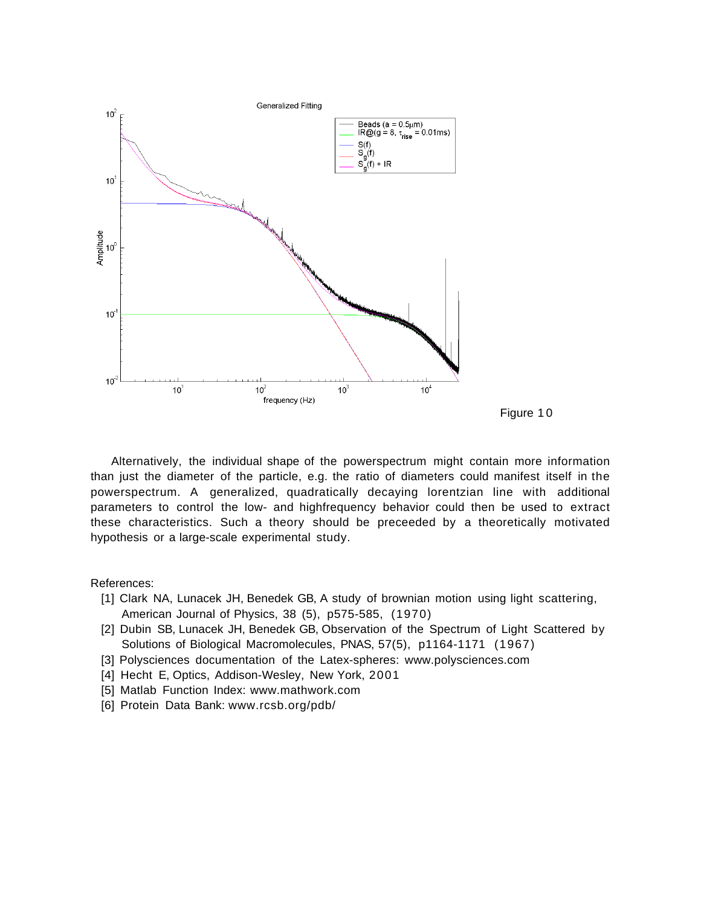

Alternatively, the individual shape of the powerspectrum might contain more information than just the diameter of the particle, e.g. the ratio of diameters could manifest itself in the powerspectrum. A generalized, quadratically decaying lorentzian line with additional parameters to control the low- and highfrequency behavior could then be used to extract these characteristics. Such a theory should be preceeded by a theoretically motivated hypothesis or a large-scale experimental study.

References:

- [1] Clark NA, Lunacek JH, Benedek GB, A study of brownian motion using light scattering, American Journal of Physics, 38 (5), p575-585, (1970)
- [2] Dubin SB, Lunacek JH, Benedek GB, Observation of the Spectrum of Light Scattered by Solutions of Biological Macromolecules, PNAS, 57(5), p1164-1171 (1967)
- [3] Polysciences documentation of the Latex-spheres: www.polysciences.com
- [4] Hecht E, Optics, Addison-Wesley, New York, 2001
- [5] Matlab Function Index: www.mathwork.com
- [6] Protein Data Bank: www.rcsb.org/pdb/